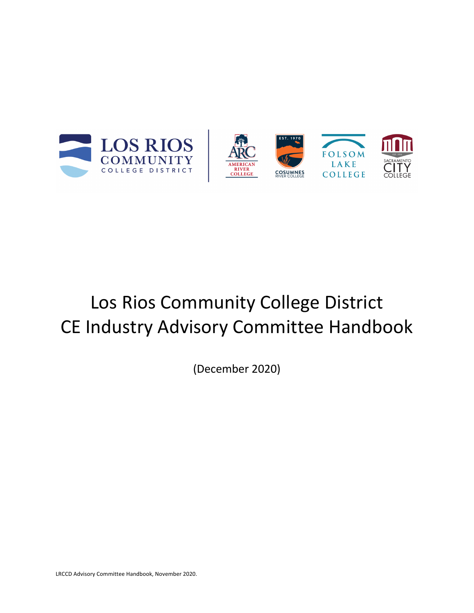



# Los Rios Community College District CE Industry Advisory Committee Handbook

(December 2020)

LRCCD Advisory Committee Handbook, November 2020.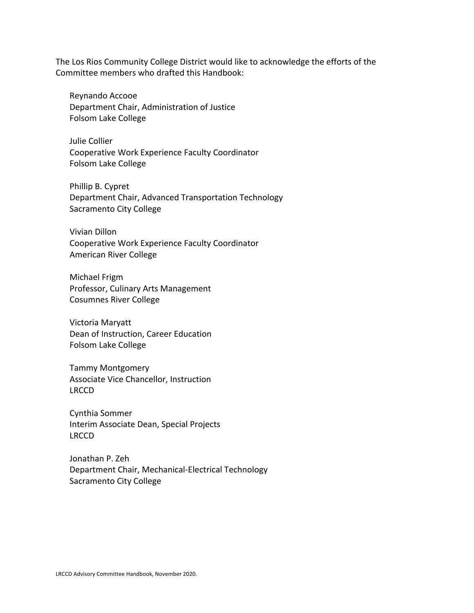The Los Rios Community College District would like to acknowledge the efforts of the Committee members who drafted this Handbook:

Reynando Accooe Department Chair, Administration of Justice Folsom Lake College

Julie Collier Cooperative Work Experience Faculty Coordinator Folsom Lake College

Phillip B. Cypret Department Chair, Advanced Transportation Technology Sacramento City College

Vivian Dillon Cooperative Work Experience Faculty Coordinator American River College

Michael Frigm Professor, Culinary Arts Management Cosumnes River College

Victoria Maryatt Dean of Instruction, Career Education Folsom Lake College

Tammy Montgomery Associate Vice Chancellor, Instruction LRCCD

Cynthia Sommer Interim Associate Dean, Special Projects LRCCD

Jonathan P. Zeh Department Chair, Mechanical-Electrical Technology Sacramento City College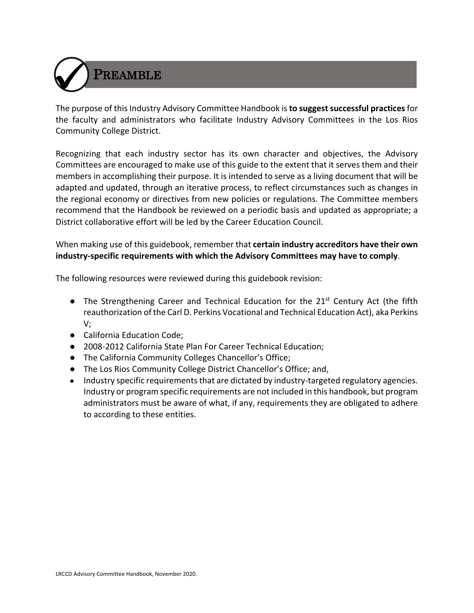

The purpose of this Industry Advisory Committee Handbook is **to suggest successful practices**for the faculty and administrators who facilitate Industry Advisory Committees in the Los Rios Community College District.

Recognizing that each industry sector has its own character and objectives, the Advisory Committees are encouraged to make use of this guide to the extent that it serves them and their members in accomplishing their purpose. It is intended to serve as a living document that will be adapted and updated, through an iterative process, to reflect circumstances such as changes in the regional economy or directives from new policies or regulations. The Committee members recommend that the Handbook be reviewed on a periodic basis and updated as appropriate; a District collaborative effort will be led by the Career Education Council.

When making use of this guidebook, remember that **certain industry accreditors have their own industry-specific requirements with which the Advisory Committees may have to comply**.

The following resources were reviewed during this guidebook revision:

- The Strengthening Career and Technical Education for the 21<sup>st</sup> Century Act (the fifth reauthorization of the Carl D. Perkins Vocational and Technical Education Act), aka Perkins V;
- California Education Code;
- 2008-2012 California State Plan For Career Technical Education;
- The California Community Colleges Chancellor's Office;
- The Los Rios Community College District Chancellor's Office; and,
- Industry specific requirements that are dictated by industry-targeted regulatory agencies. Industry or program specific requirements are not included in this handbook, but program administrators must be aware of what, if any, requirements they are obligated to adhere to according to these entities.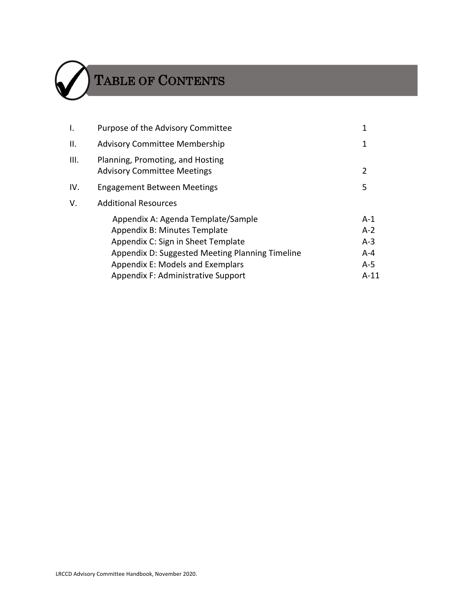

# TABLE OF CONTENTS

| I.   | Purpose of the Advisory Committee                                      | 1              |
|------|------------------------------------------------------------------------|----------------|
| ΙΙ.  | <b>Advisory Committee Membership</b>                                   | 1              |
| III. | Planning, Promoting, and Hosting<br><b>Advisory Committee Meetings</b> | 2              |
| IV.  | <b>Engagement Between Meetings</b>                                     | 5              |
| V.   | <b>Additional Resources</b>                                            |                |
|      | Appendix A: Agenda Template/Sample<br>Appendix B: Minutes Template     | $A-1$<br>$A-2$ |
|      | Appendix C: Sign in Sheet Template                                     | $A-3$          |
|      | Appendix D: Suggested Meeting Planning Timeline                        | $A - 4$        |
|      | Appendix E: Models and Exemplars                                       | $A-5$          |
|      | Appendix F: Administrative Support                                     | $A-11$         |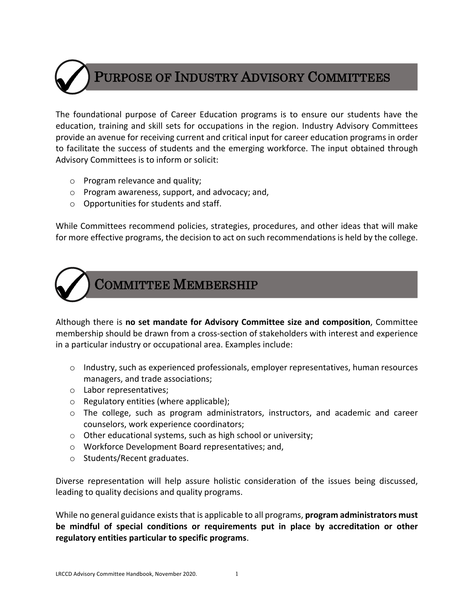

### PURPOSE OF INDUSTRY ADVISORY COMMITTEES

The foundational purpose of Career Education programs is to ensure our students have the education, training and skill sets for occupations in the region. Industry Advisory Committees provide an avenue for receiving current and critical input for career education programs in order to facilitate the success of students and the emerging workforce. The input obtained through Advisory Committees is to inform or solicit:

- o Program relevance and quality;
- o Program awareness, support, and advocacy; and,
- o Opportunities for students and staff.

While Committees recommend policies, strategies, procedures, and other ideas that will make for more effective programs, the decision to act on such recommendations is held by the college.



### COMMITTEE MEMBERSHIP

Although there is **no set mandate for Advisory Committee size and composition**, Committee membership should be drawn from a cross-section of stakeholders with interest and experience in a particular industry or occupational area. Examples include:

- $\circ$  Industry, such as experienced professionals, employer representatives, human resources managers, and trade associations;
- o Labor representatives;
- o Regulatory entities (where applicable);
- o The college, such as program administrators, instructors, and academic and career counselors, work experience coordinators;
- o Other educational systems, such as high school or university;
- o Workforce Development Board representatives; and,
- o Students/Recent graduates.

Diverse representation will help assure holistic consideration of the issues being discussed, leading to quality decisions and quality programs.

While no general guidance exists that is applicable to all programs, **program administrators must be mindful of special conditions or requirements put in place by accreditation or other regulatory entities particular to specific programs**.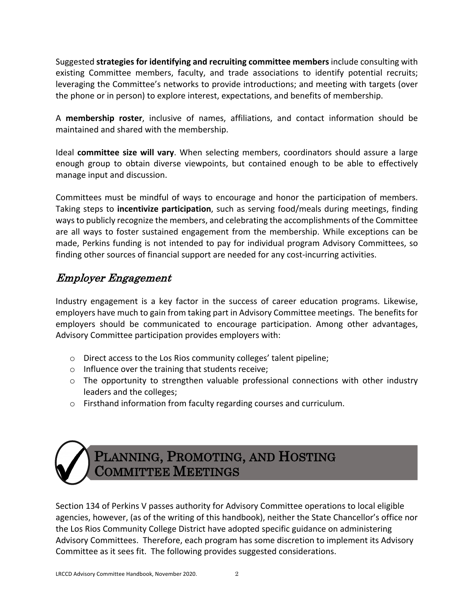Suggested **strategies for identifying and recruiting committee members**include consulting with existing Committee members, faculty, and trade associations to identify potential recruits; leveraging the Committee's networks to provide introductions; and meeting with targets (over the phone or in person) to explore interest, expectations, and benefits of membership.

A **membership roster**, inclusive of names, affiliations, and contact information should be maintained and shared with the membership.

Ideal **committee size will vary**. When selecting members, coordinators should assure a large enough group to obtain diverse viewpoints, but contained enough to be able to effectively manage input and discussion.

Committees must be mindful of ways to encourage and honor the participation of members. Taking steps to **incentivize participation**, such as serving food/meals during meetings, finding ways to publicly recognize the members, and celebrating the accomplishments of the Committee are all ways to foster sustained engagement from the membership. While exceptions can be made, Perkins funding is not intended to pay for individual program Advisory Committees, so finding other sources of financial support are needed for any cost-incurring activities.

### Employer Engagement

Industry engagement is a key factor in the success of career education programs. Likewise, employers have much to gain from taking part in Advisory Committee meetings. The benefits for employers should be communicated to encourage participation. Among other advantages, Advisory Committee participation provides employers with:

- o Direct access to the Los Rios community colleges' talent pipeline;
- o Influence over the training that students receive;
- $\circ$  The opportunity to strengthen valuable professional connections with other industry leaders and the colleges;
- o Firsthand information from faculty regarding courses and curriculum.



### PLANNING, PROMOTING, AND HOSTING COMMITTEE MEETINGS

Section 134 of Perkins V passes authority for Advisory Committee operations to local eligible agencies, however, (as of the writing of this handbook), neither the State Chancellor's office nor the Los Rios Community College District have adopted specific guidance on administering Advisory Committees. Therefore, each program has some discretion to implement its Advisory Committee as it sees fit. The following provides suggested considerations.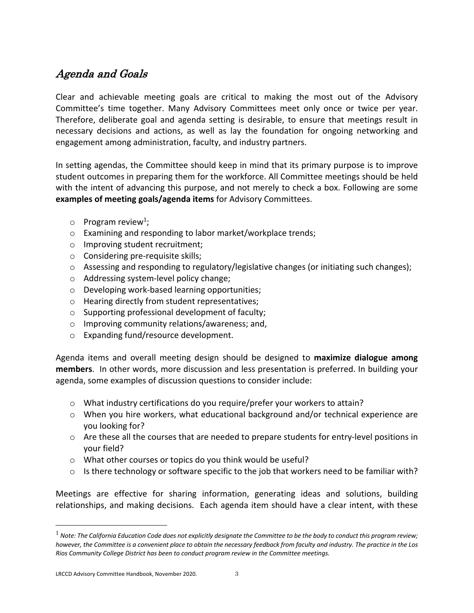### Agenda and Goals

Clear and achievable meeting goals are critical to making the most out of the Advisory Committee's time together. Many Advisory Committees meet only once or twice per year. Therefore, deliberate goal and agenda setting is desirable, to ensure that meetings result in necessary decisions and actions, as well as lay the foundation for ongoing networking and engagement among administration, faculty, and industry partners.

In setting agendas, the Committee should keep in mind that its primary purpose is to improve student outcomes in preparing them for the workforce. All Committee meetings should be held with the intent of advancing this purpose, and not merely to check a box. Following are some **examples of meeting goals/agenda items** for Advisory Committees.

- $\circ$  Program review<sup>1</sup>;
- o Examining and responding to labor market/workplace trends;
- o Improving student recruitment;
- o Considering pre-requisite skills;
- $\circ$  Assessing and responding to regulatory/legislative changes (or initiating such changes);
- o Addressing system-level policy change;
- o Developing work-based learning opportunities;
- o Hearing directly from student representatives;
- o Supporting professional development of faculty;
- o Improving community relations/awareness; and,
- o Expanding fund/resource development.

Agenda items and overall meeting design should be designed to **maximize dialogue among members**. In other words, more discussion and less presentation is preferred. In building your agenda, some examples of discussion questions to consider include:

- o What industry certifications do you require/prefer your workers to attain?
- $\circ$  When you hire workers, what educational background and/or technical experience are you looking for?
- $\circ$  Are these all the courses that are needed to prepare students for entry-level positions in your field?
- o What other courses or topics do you think would be useful?
- $\circ$  Is there technology or software specific to the job that workers need to be familiar with?

Meetings are effective for sharing information, generating ideas and solutions, building relationships, and making decisions. Each agenda item should have a clear intent, with these

<sup>&</sup>lt;sup>1</sup> Note: The California Education Code does not explicitly designate the Committee to be the body to conduct this program review; *however, the Committee is a convenient place to obtain the necessary feedback from faculty and industry. The practice in the Los Rios Community College District has been to conduct program review in the Committee meetings.*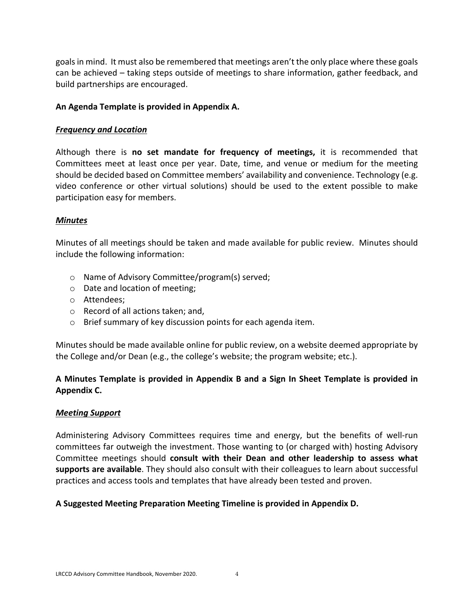goals in mind. It must also be remembered that meetings aren't the only place where these goals can be achieved – taking steps outside of meetings to share information, gather feedback, and build partnerships are encouraged.

#### **An Agenda Template is provided in Appendix A.**

#### *Frequency and Location*

Although there is **no set mandate for frequency of meetings,** it is recommended that Committees meet at least once per year. Date, time, and venue or medium for the meeting should be decided based on Committee members' availability and convenience. Technology (e.g. video conference or other virtual solutions) should be used to the extent possible to make participation easy for members.

#### *Minutes*

Minutes of all meetings should be taken and made available for public review. Minutes should include the following information:

- o Name of Advisory Committee/program(s) served;
- o Date and location of meeting;
- o Attendees;
- o Record of all actions taken; and,
- o Brief summary of key discussion points for each agenda item.

Minutes should be made available online for public review, on a website deemed appropriate by the College and/or Dean (e.g., the college's website; the program website; etc.).

#### **A Minutes Template is provided in Appendix B and a Sign In Sheet Template is provided in Appendix C.**

#### *Meeting Support*

Administering Advisory Committees requires time and energy, but the benefits of well-run committees far outweigh the investment. Those wanting to (or charged with) hosting Advisory Committee meetings should **consult with their Dean and other leadership to assess what supports are available**. They should also consult with their colleagues to learn about successful practices and access tools and templates that have already been tested and proven.

#### **A Suggested Meeting Preparation Meeting Timeline is provided in Appendix D.**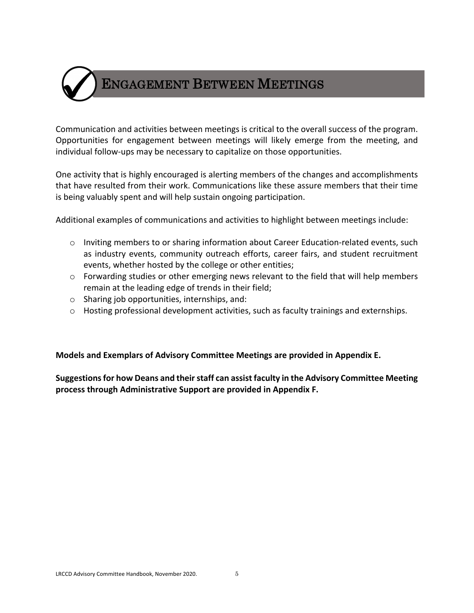

Communication and activities between meetings is critical to the overall success of the program. Opportunities for engagement between meetings will likely emerge from the meeting, and individual follow-ups may be necessary to capitalize on those opportunities.

One activity that is highly encouraged is alerting members of the changes and accomplishments that have resulted from their work. Communications like these assure members that their time is being valuably spent and will help sustain ongoing participation.

Additional examples of communications and activities to highlight between meetings include:

- o Inviting members to or sharing information about Career Education-related events, such as industry events, community outreach efforts, career fairs, and student recruitment events, whether hosted by the college or other entities;
- o Forwarding studies or other emerging news relevant to the field that will help members remain at the leading edge of trends in their field;
- o Sharing job opportunities, internships, and:
- o Hosting professional development activities, such as faculty trainings and externships.

**Models and Exemplars of Advisory Committee Meetings are provided in Appendix E.** 

**Suggestions for how Deans and their staff can assist faculty in the Advisory Committee Meeting process through Administrative Support are provided in Appendix F.**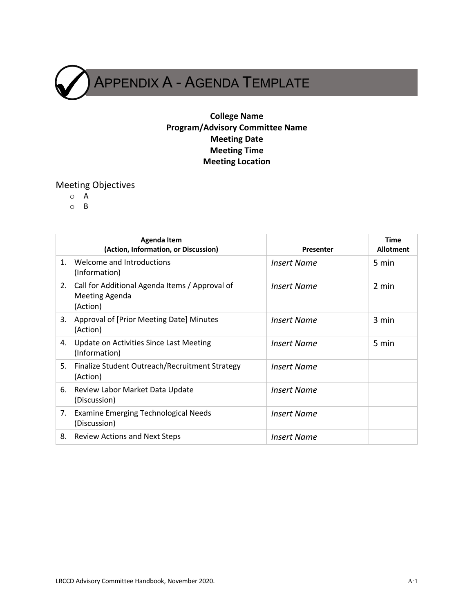

#### **College Name Program/Advisory Committee Name Meeting Date Meeting Time Meeting Location**

### Meeting Objectives

- o A
- o B

|         | <b>Agenda Item</b><br>(Action, Information, or Discussion)                          | <b>Presenter</b>   | <b>Time</b><br><b>Allotment</b> |
|---------|-------------------------------------------------------------------------------------|--------------------|---------------------------------|
| $1_{-}$ | Welcome and Introductions<br>(Information)                                          | <b>Insert Name</b> | 5 min                           |
| 2.      | Call for Additional Agenda Items / Approval of<br><b>Meeting Agenda</b><br>(Action) | <b>Insert Name</b> | 2 min                           |
| 3.      | Approval of [Prior Meeting Date] Minutes<br>(Action)                                | <b>Insert Name</b> | 3 min                           |
| 4.      | Update on Activities Since Last Meeting<br>(Information)                            | <b>Insert Name</b> | 5 min                           |
| 5.      | Finalize Student Outreach/Recruitment Strategy<br>(Action)                          | <b>Insert Name</b> |                                 |
| 6.      | Review Labor Market Data Update<br>(Discussion)                                     | <b>Insert Name</b> |                                 |
| 7.      | <b>Examine Emerging Technological Needs</b><br>(Discussion)                         | <b>Insert Name</b> |                                 |
| 8.      | <b>Review Actions and Next Steps</b>                                                | <b>Insert Name</b> |                                 |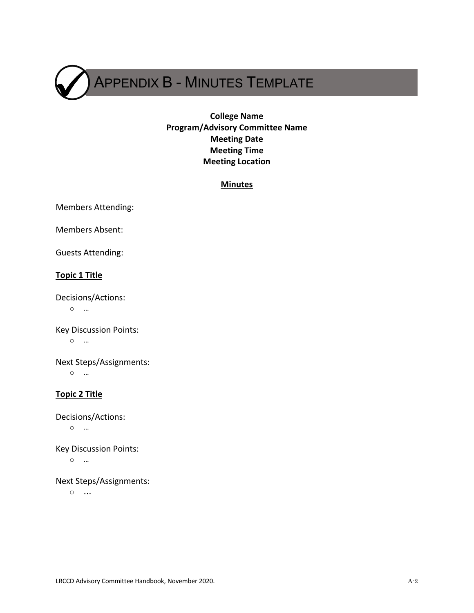APPENDIX B - MINUTES TEMPLATE

#### **College Name Program/Advisory Committee Name Meeting Date Meeting Time Meeting Location**

#### **Minutes**

Members Attending:

Members Absent:

Guests Attending:

#### **Topic 1 Title**

Decisions/Actions: o …

Key Discussion Points: o …

Next Steps/Assignments: o …

#### **Topic 2 Title**

Decisions/Actions: o …

Key Discussion Points: o …

Next Steps/Assignments:

o …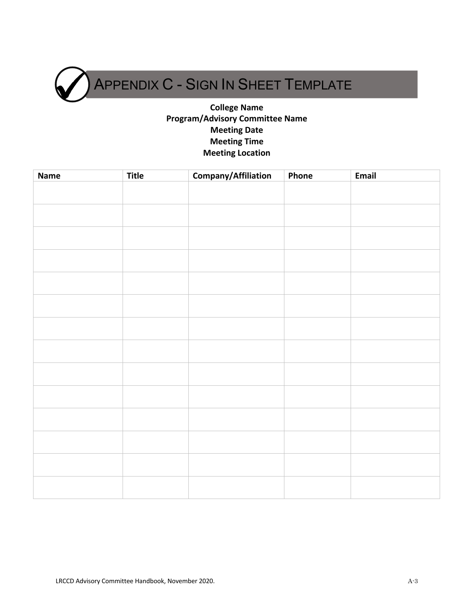APPENDIX C - SIGN IN SHEET TEMPLATE

#### **College Name Program/Advisory Committee Name Meeting Date Meeting Time Meeting Location**

| <b>Name</b> | <b>Title</b> | Company/Affiliation | Phone | Email |
|-------------|--------------|---------------------|-------|-------|
|             |              |                     |       |       |
|             |              |                     |       |       |
|             |              |                     |       |       |
|             |              |                     |       |       |
|             |              |                     |       |       |
|             |              |                     |       |       |
|             |              |                     |       |       |
|             |              |                     |       |       |
|             |              |                     |       |       |
|             |              |                     |       |       |
|             |              |                     |       |       |
|             |              |                     |       |       |
|             |              |                     |       |       |
|             |              |                     |       |       |
|             |              |                     |       |       |
|             |              |                     |       |       |
|             |              |                     |       |       |
|             |              |                     |       |       |
|             |              |                     |       |       |
|             |              |                     |       |       |
|             |              |                     |       |       |
|             |              |                     |       |       |
|             |              |                     |       |       |
|             |              |                     |       |       |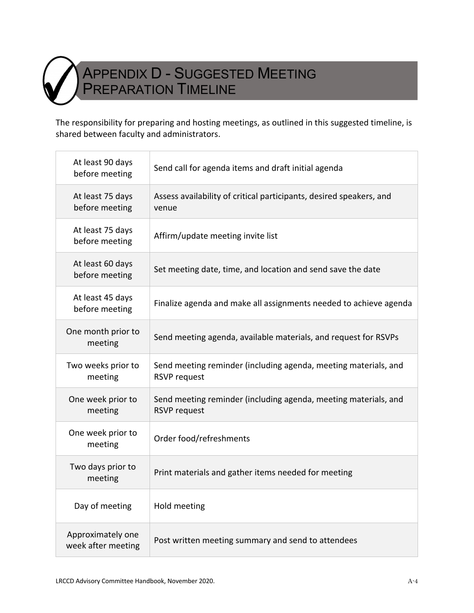

## APPENDIX D - SUGGESTED MEETING PREPARATION TIMELINE

The responsibility for preparing and hosting meetings, as outlined in this suggested timeline, is shared between faculty and administrators.

| At least 90 days<br>before meeting      | Send call for agenda items and draft initial agenda                                    |
|-----------------------------------------|----------------------------------------------------------------------------------------|
| At least 75 days<br>before meeting      | Assess availability of critical participants, desired speakers, and<br>venue           |
| At least 75 days<br>before meeting      | Affirm/update meeting invite list                                                      |
| At least 60 days<br>before meeting      | Set meeting date, time, and location and send save the date                            |
| At least 45 days<br>before meeting      | Finalize agenda and make all assignments needed to achieve agenda                      |
| One month prior to<br>meeting           | Send meeting agenda, available materials, and request for RSVPs                        |
| Two weeks prior to<br>meeting           | Send meeting reminder (including agenda, meeting materials, and<br><b>RSVP request</b> |
| One week prior to<br>meeting            | Send meeting reminder (including agenda, meeting materials, and<br><b>RSVP request</b> |
| One week prior to<br>meeting            | Order food/refreshments                                                                |
| Two days prior to<br>meeting            | Print materials and gather items needed for meeting                                    |
| Day of meeting                          | Hold meeting                                                                           |
| Approximately one<br>week after meeting | Post written meeting summary and send to attendees                                     |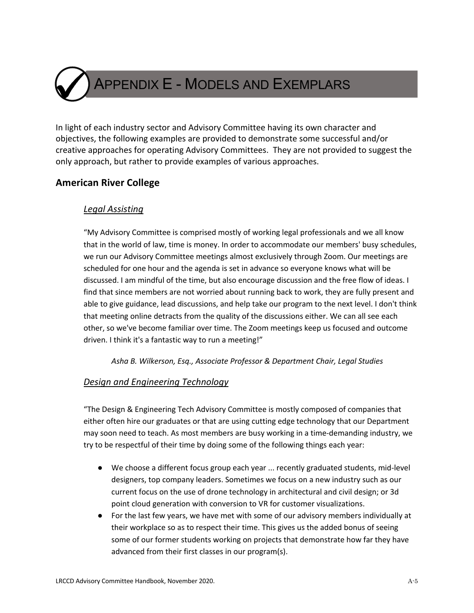APPENDIX E - MODELS AND EXEMPLARS

In light of each industry sector and Advisory Committee having its own character and objectives, the following examples are provided to demonstrate some successful and/or creative approaches for operating Advisory Committees. They are not provided to suggest the only approach, but rather to provide examples of various approaches.

#### **American River College**

#### *Legal Assisting*

"My Advisory Committee is comprised mostly of working legal professionals and we all know that in the world of law, time is money. In order to accommodate our members' busy schedules, we run our Advisory Committee meetings almost exclusively through Zoom. Our meetings are scheduled for one hour and the agenda is set in advance so everyone knows what will be discussed. I am mindful of the time, but also encourage discussion and the free flow of ideas. I find that since members are not worried about running back to work, they are fully present and able to give guidance, lead discussions, and help take our program to the next level. I don't think that meeting online detracts from the quality of the discussions either. We can all see each other, so we've become familiar over time. The Zoom meetings keep us focused and outcome driven. I think it's a fantastic way to run a meeting!"

*Asha B. Wilkerson, Esq., Associate Professor & Department Chair, Legal Studies* 

#### *Design and Engineering Technology*

"The Design & Engineering Tech Advisory Committee is mostly composed of companies that either often hire our graduates or that are using cutting edge technology that our Department may soon need to teach. As most members are busy working in a time-demanding industry, we try to be respectful of their time by doing some of the following things each year:

- We choose a different focus group each year ... recently graduated students, mid-level designers, top company leaders. Sometimes we focus on a new industry such as our current focus on the use of drone technology in architectural and civil design; or 3d point cloud generation with conversion to VR for customer visualizations.
- For the last few years, we have met with some of our advisory members individually at their workplace so as to respect their time. This gives us the added bonus of seeing some of our former students working on projects that demonstrate how far they have advanced from their first classes in our program(s).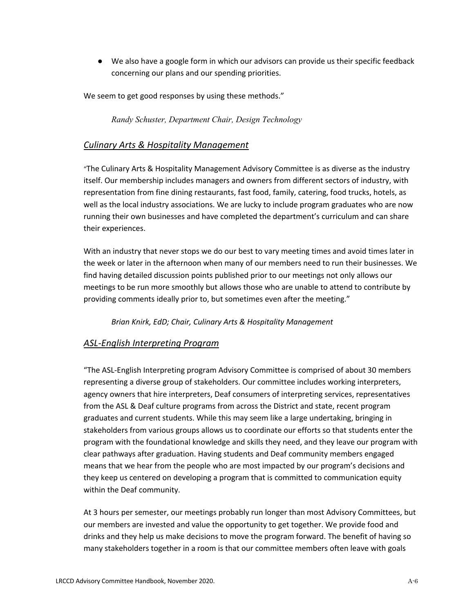● We also have a google form in which our advisors can provide us their specific feedback concerning our plans and our spending priorities.

We seem to get good responses by using these methods."

*Randy Schuster, Department Chair, Design Technology*

#### *Culinary Arts & Hospitality Management*

"The Culinary Arts & Hospitality Management Advisory Committee is as diverse as the industry itself. Our membership includes managers and owners from different sectors of industry, with representation from fine dining restaurants, fast food, family, catering, food trucks, hotels, as well as the local industry associations. We are lucky to include program graduates who are now running their own businesses and have completed the department's curriculum and can share their experiences.

With an industry that never stops we do our best to vary meeting times and avoid times later in the week or later in the afternoon when many of our members need to run their businesses. We find having detailed discussion points published prior to our meetings not only allows our meetings to be run more smoothly but allows those who are unable to attend to contribute by providing comments ideally prior to, but sometimes even after the meeting."

*Brian Knirk, EdD; Chair, Culinary Arts & Hospitality Management*

#### *ASL-English Interpreting Program*

"The ASL-English Interpreting program Advisory Committee is comprised of about 30 members representing a diverse group of stakeholders. Our committee includes working interpreters, agency owners that hire interpreters, Deaf consumers of interpreting services, representatives from the ASL & Deaf culture programs from across the District and state, recent program graduates and current students. While this may seem like a large undertaking, bringing in stakeholders from various groups allows us to coordinate our efforts so that students enter the program with the foundational knowledge and skills they need, and they leave our program with clear pathways after graduation. Having students and Deaf community members engaged means that we hear from the people who are most impacted by our program's decisions and they keep us centered on developing a program that is committed to communication equity within the Deaf community.

At 3 hours per semester, our meetings probably run longer than most Advisory Committees, but our members are invested and value the opportunity to get together. We provide food and drinks and they help us make decisions to move the program forward. The benefit of having so many stakeholders together in a room is that our committee members often leave with goals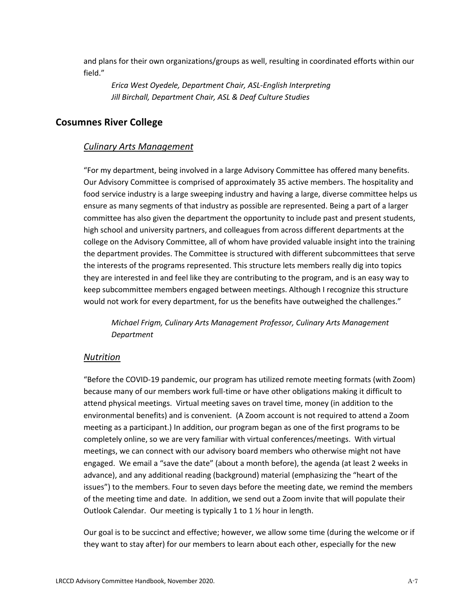and plans for their own organizations/groups as well, resulting in coordinated efforts within our field."

*Erica West Oyedele, Department Chair, ASL-English Interpreting Jill Birchall, Department Chair, ASL & Deaf Culture Studies* 

#### **Cosumnes River College**

#### *Culinary Arts Management*

"For my department, being involved in a large Advisory Committee has offered many benefits. Our Advisory Committee is comprised of approximately 35 active members. The hospitality and food service industry is a large sweeping industry and having a large, diverse committee helps us ensure as many segments of that industry as possible are represented. Being a part of a larger committee has also given the department the opportunity to include past and present students, high school and university partners, and colleagues from across different departments at the college on the Advisory Committee, all of whom have provided valuable insight into the training the department provides. The Committee is structured with different subcommittees that serve the interests of the programs represented. This structure lets members really dig into topics they are interested in and feel like they are contributing to the program, and is an easy way to keep subcommittee members engaged between meetings. Although I recognize this structure would not work for every department, for us the benefits have outweighed the challenges."

*Michael Frigm, Culinary Arts Management Professor, Culinary Arts Management Department*

#### *Nutrition*

"Before the COVID-19 pandemic, our program has utilized remote meeting formats (with Zoom) because many of our members work full-time or have other obligations making it difficult to attend physical meetings. Virtual meeting saves on travel time, money (in addition to the environmental benefits) and is convenient. (A Zoom account is not required to attend a Zoom meeting as a participant.) In addition, our program began as one of the first programs to be completely online, so we are very familiar with virtual conferences/meetings. With virtual meetings, we can connect with our advisory board members who otherwise might not have engaged. We email a "save the date" (about a month before), the agenda (at least 2 weeks in advance), and any additional reading (background) material (emphasizing the "heart of the issues") to the members. Four to seven days before the meeting date, we remind the members of the meeting time and date. In addition, we send out a Zoom invite that will populate their Outlook Calendar. Our meeting is typically 1 to 1 ½ hour in length.

Our goal is to be succinct and effective; however, we allow some time (during the welcome or if they want to stay after) for our members to learn about each other, especially for the new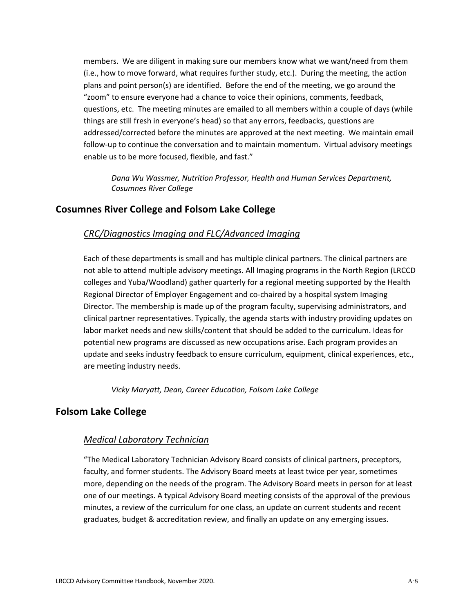members. We are diligent in making sure our members know what we want/need from them (i.e., how to move forward, what requires further study, etc.). During the meeting, the action plans and point person(s) are identified. Before the end of the meeting, we go around the "zoom" to ensure everyone had a chance to voice their opinions, comments, feedback, questions, etc. The meeting minutes are emailed to all members within a couple of days (while things are still fresh in everyone's head) so that any errors, feedbacks, questions are addressed/corrected before the minutes are approved at the next meeting. We maintain email follow-up to continue the conversation and to maintain momentum. Virtual advisory meetings enable us to be more focused, flexible, and fast."

*Dana Wu Wassmer, Nutrition Professor, Health and Human Services Department, Cosumnes River College*

#### **Cosumnes River College and Folsom Lake College**

#### *CRC/Diagnostics Imaging and FLC/Advanced Imaging*

Each of these departments is small and has multiple clinical partners. The clinical partners are not able to attend multiple advisory meetings. All Imaging programs in the North Region (LRCCD colleges and Yuba/Woodland) gather quarterly for a regional meeting supported by the Health Regional Director of Employer Engagement and co-chaired by a hospital system Imaging Director. The membership is made up of the program faculty, supervising administrators, and clinical partner representatives. Typically, the agenda starts with industry providing updates on labor market needs and new skills/content that should be added to the curriculum. Ideas for potential new programs are discussed as new occupations arise. Each program provides an update and seeks industry feedback to ensure curriculum, equipment, clinical experiences, etc., are meeting industry needs.

*Vicky Maryatt, Dean, Career Education, Folsom Lake College*

#### **Folsom Lake College**

#### *Medical Laboratory Technician*

"The Medical Laboratory Technician Advisory Board consists of clinical partners, preceptors, faculty, and former students. The Advisory Board meets at least twice per year, sometimes more, depending on the needs of the program. The Advisory Board meets in person for at least one of our meetings. A typical Advisory Board meeting consists of the approval of the previous minutes, a review of the curriculum for one class, an update on current students and recent graduates, budget & accreditation review, and finally an update on any emerging issues.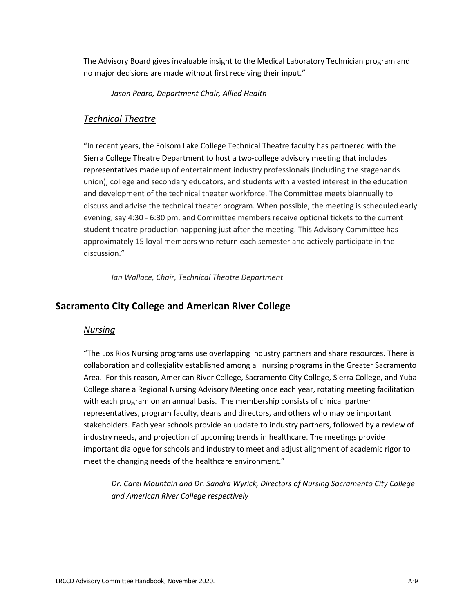The Advisory Board gives invaluable insight to the Medical Laboratory Technician program and no major decisions are made without first receiving their input."

*Jason Pedro, Department Chair, Allied Health* 

#### *Technical Theatre*

"In recent years, the Folsom Lake College Technical Theatre faculty has partnered with the Sierra College Theatre Department to host a two-college advisory meeting that includes representatives made up of entertainment industry professionals (including the stagehands union), college and secondary educators, and students with a vested interest in the education and development of the technical theater workforce. The Committee meets biannually to discuss and advise the technical theater program. When possible, the meeting is scheduled early evening, say 4:30 - 6:30 pm, and Committee members receive optional tickets to the current student theatre production happening just after the meeting. This Advisory Committee has approximately 15 loyal members who return each semester and actively participate in the discussion."

*Ian Wallace, Chair, Technical Theatre Department*

#### **Sacramento City College and American River College**

#### *Nursing*

"The Los Rios Nursing programs use overlapping industry partners and share resources. There is collaboration and collegiality established among all nursing programs in the Greater Sacramento Area. For this reason, American River College, Sacramento City College, Sierra College, and Yuba College share a Regional Nursing Advisory Meeting once each year, rotating meeting facilitation with each program on an annual basis. The membership consists of clinical partner representatives, program faculty, deans and directors, and others who may be important stakeholders. Each year schools provide an update to industry partners, followed by a review of industry needs, and projection of upcoming trends in healthcare. The meetings provide important dialogue for schools and industry to meet and adjust alignment of academic rigor to meet the changing needs of the healthcare environment."

*Dr. Carel Mountain and Dr. Sandra Wyrick, Directors of Nursing Sacramento City College and American River College respectively*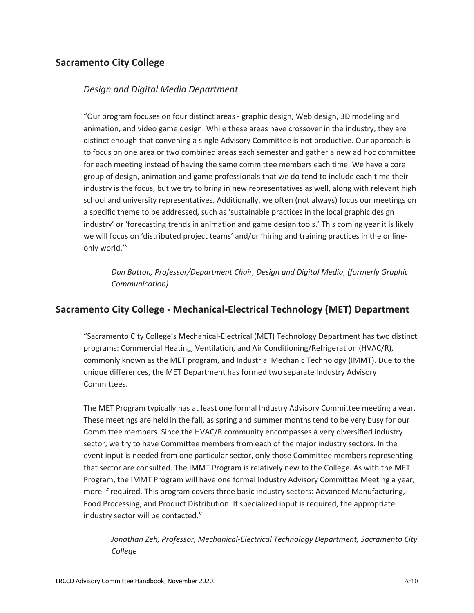#### **Sacramento City College**

#### *Design and Digital Media Department*

"Our program focuses on four distinct areas - graphic design, Web design, 3D modeling and animation, and video game design. While these areas have crossover in the industry, they are distinct enough that convening a single Advisory Committee is not productive. Our approach is to focus on one area or two combined areas each semester and gather a new ad hoc committee for each meeting instead of having the same committee members each time. We have a core group of design, animation and game professionals that we do tend to include each time their industry is the focus, but we try to bring in new representatives as well, along with relevant high school and university representatives. Additionally, we often (not always) focus our meetings on a specific theme to be addressed, such as 'sustainable practices in the local graphic design industry' or 'forecasting trends in animation and game design tools.' This coming year it is likely we will focus on 'distributed project teams' and/or 'hiring and training practices in the onlineonly world.'"

*Don Button, Professor/Department Chair, Design and Digital Media, (formerly Graphic Communication)*

#### **Sacramento City College - Mechanical-Electrical Technology (MET) Department**

"Sacramento City College's Mechanical-Electrical (MET) Technology Department has two distinct programs: Commercial Heating, Ventilation, and Air Conditioning/Refrigeration (HVAC/R), commonly known as the MET program, and Industrial Mechanic Technology (IMMT). Due to the unique differences, the MET Department has formed two separate Industry Advisory Committees.

The MET Program typically has at least one formal Industry Advisory Committee meeting a year. These meetings are held in the fall, as spring and summer months tend to be very busy for our Committee members. Since the HVAC/R community encompasses a very diversified industry sector, we try to have Committee members from each of the major industry sectors. In the event input is needed from one particular sector, only those Committee members representing that sector are consulted. The IMMT Program is relatively new to the College. As with the MET Program, the IMMT Program will have one formal Industry Advisory Committee Meeting a year, more if required. This program covers three basic industry sectors: Advanced Manufacturing, Food Processing, and Product Distribution. If specialized input is required, the appropriate industry sector will be contacted."

*Jonathan Zeh, Professor, Mechanical-Electrical Technology Department, Sacramento City College*